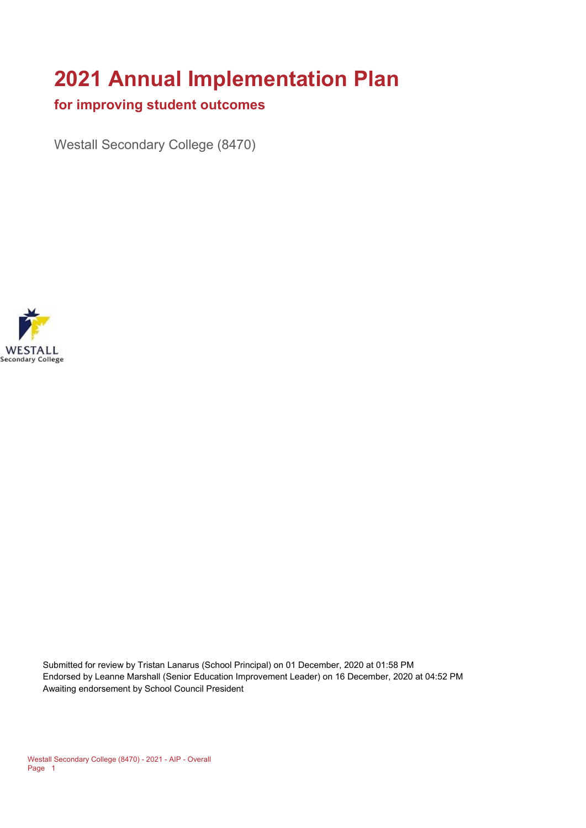# **2021 Annual Implementation Plan**

#### **for improving student outcomes**

Westall Secondary College (8470)



Submitted for review by Tristan Lanarus (School Principal) on 01 December, 2020 at 01:58 PM Endorsed by Leanne Marshall (Senior Education Improvement Leader) on 16 December, 2020 at 04:52 PM Awaiting endorsement by School Council President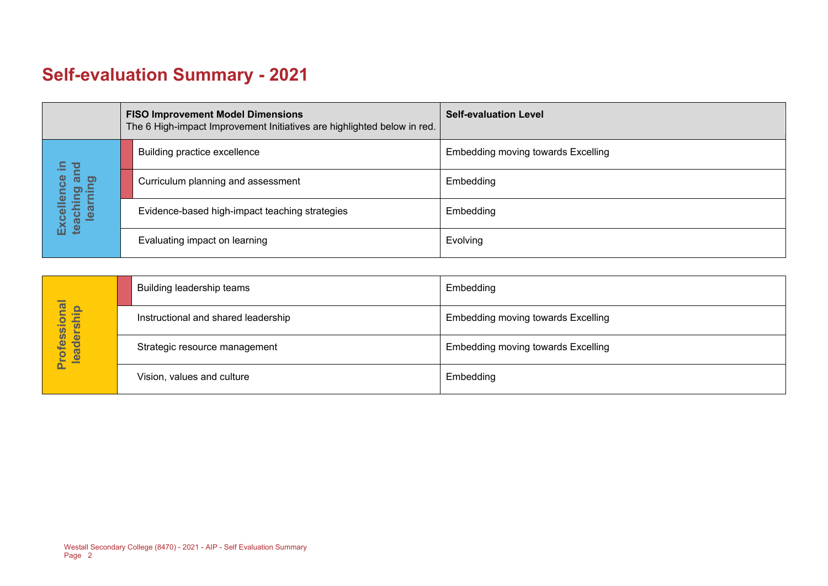# **Self-evaluation Summary - 2021**

|                                                                    | <b>FISO Improvement Model Dimensions</b><br>The 6 High-impact Improvement Initiatives are highlighted below in red. |                                                | <b>Self-evaluation Level</b>       |
|--------------------------------------------------------------------|---------------------------------------------------------------------------------------------------------------------|------------------------------------------------|------------------------------------|
| $\Xi$<br>and<br>lence<br>aching ar<br>learning<br>Excell<br>teachi |                                                                                                                     | Building practice excellence                   | Embedding moving towards Excelling |
|                                                                    |                                                                                                                     | Curriculum planning and assessment             | Embedding                          |
|                                                                    |                                                                                                                     | Evidence-based high-impact teaching strategies | Embedding                          |
|                                                                    |                                                                                                                     | Evaluating impact on learning                  | Evolving                           |

| rofessional<br>eadership<br>$\overline{\mathbf{e}}$<br>► | Building leadership teams           | Embedding                                 |
|----------------------------------------------------------|-------------------------------------|-------------------------------------------|
|                                                          | Instructional and shared leadership | <b>Embedding moving towards Excelling</b> |
|                                                          | Strategic resource management       | Embedding moving towards Excelling        |
|                                                          | Vision, values and culture          | Embedding                                 |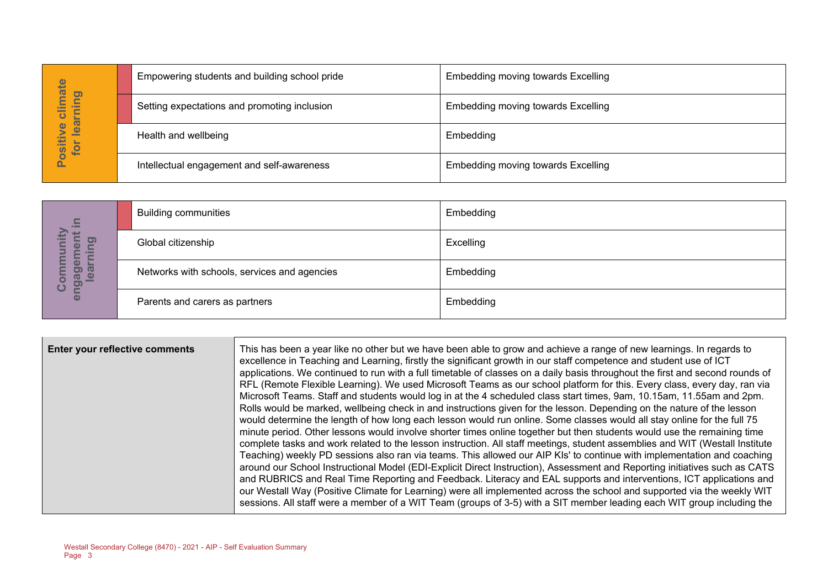| hate<br>learning<br>Ξ<br>Ü<br>$\bullet$<br>ositiv<br>for | Empowering students and building school pride | Embedding moving towards Excelling        |  |
|----------------------------------------------------------|-----------------------------------------------|-------------------------------------------|--|
|                                                          | Setting expectations and promoting inclusion  | Embedding moving towards Excelling        |  |
|                                                          | Health and wellbeing                          | Embedding                                 |  |
|                                                          | Intellectual engagement and self-awareness    | <b>Embedding moving towards Excelling</b> |  |

| $\mathbf{C}$<br><u>ත</u><br>$\bullet$<br>$\omega$<br><b>P</b><br>ပ<br>$\overline{\mathbf{a}}$ | <b>Building communities</b>                  | Embedding |
|-----------------------------------------------------------------------------------------------|----------------------------------------------|-----------|
|                                                                                               | Global citizenship                           | Excelling |
|                                                                                               | Networks with schools, services and agencies | Embedding |
|                                                                                               | Parents and carers as partners               | Embedding |

|                                        |                                                                         | Empowering students and building school pride | Effibedding moving towards Excelling                                                                                                                                                                                                                                                                                                                                                                                                                                                                                                                                                                                                                                                                                                                                                                                                                                                                                                                                                                                                                                                                                                                                                                                                                                                                                                                                                                                                                                                                                                                                                                                                                                                                                                                                                  |
|----------------------------------------|-------------------------------------------------------------------------|-----------------------------------------------|---------------------------------------------------------------------------------------------------------------------------------------------------------------------------------------------------------------------------------------------------------------------------------------------------------------------------------------------------------------------------------------------------------------------------------------------------------------------------------------------------------------------------------------------------------------------------------------------------------------------------------------------------------------------------------------------------------------------------------------------------------------------------------------------------------------------------------------------------------------------------------------------------------------------------------------------------------------------------------------------------------------------------------------------------------------------------------------------------------------------------------------------------------------------------------------------------------------------------------------------------------------------------------------------------------------------------------------------------------------------------------------------------------------------------------------------------------------------------------------------------------------------------------------------------------------------------------------------------------------------------------------------------------------------------------------------------------------------------------------------------------------------------------------|
| Positive climate<br>for learning       |                                                                         | Setting expectations and promoting inclusion  | <b>Embedding moving towards Excelling</b>                                                                                                                                                                                                                                                                                                                                                                                                                                                                                                                                                                                                                                                                                                                                                                                                                                                                                                                                                                                                                                                                                                                                                                                                                                                                                                                                                                                                                                                                                                                                                                                                                                                                                                                                             |
|                                        | Health and wellbeing                                                    |                                               | Embedding                                                                                                                                                                                                                                                                                                                                                                                                                                                                                                                                                                                                                                                                                                                                                                                                                                                                                                                                                                                                                                                                                                                                                                                                                                                                                                                                                                                                                                                                                                                                                                                                                                                                                                                                                                             |
|                                        |                                                                         | Intellectual engagement and self-awareness    | <b>Embedding moving towards Excelling</b>                                                                                                                                                                                                                                                                                                                                                                                                                                                                                                                                                                                                                                                                                                                                                                                                                                                                                                                                                                                                                                                                                                                                                                                                                                                                                                                                                                                                                                                                                                                                                                                                                                                                                                                                             |
|                                        |                                                                         |                                               |                                                                                                                                                                                                                                                                                                                                                                                                                                                                                                                                                                                                                                                                                                                                                                                                                                                                                                                                                                                                                                                                                                                                                                                                                                                                                                                                                                                                                                                                                                                                                                                                                                                                                                                                                                                       |
|                                        | <b>Building communities</b>                                             |                                               | Embedding                                                                                                                                                                                                                                                                                                                                                                                                                                                                                                                                                                                                                                                                                                                                                                                                                                                                                                                                                                                                                                                                                                                                                                                                                                                                                                                                                                                                                                                                                                                                                                                                                                                                                                                                                                             |
| engagement in<br>Community<br>learning | Global citizenship                                                      |                                               | Excelling                                                                                                                                                                                                                                                                                                                                                                                                                                                                                                                                                                                                                                                                                                                                                                                                                                                                                                                                                                                                                                                                                                                                                                                                                                                                                                                                                                                                                                                                                                                                                                                                                                                                                                                                                                             |
|                                        |                                                                         | Networks with schools, services and agencies  | Embedding                                                                                                                                                                                                                                                                                                                                                                                                                                                                                                                                                                                                                                                                                                                                                                                                                                                                                                                                                                                                                                                                                                                                                                                                                                                                                                                                                                                                                                                                                                                                                                                                                                                                                                                                                                             |
|                                        | Parents and carers as partners                                          |                                               | Embedding                                                                                                                                                                                                                                                                                                                                                                                                                                                                                                                                                                                                                                                                                                                                                                                                                                                                                                                                                                                                                                                                                                                                                                                                                                                                                                                                                                                                                                                                                                                                                                                                                                                                                                                                                                             |
|                                        |                                                                         |                                               |                                                                                                                                                                                                                                                                                                                                                                                                                                                                                                                                                                                                                                                                                                                                                                                                                                                                                                                                                                                                                                                                                                                                                                                                                                                                                                                                                                                                                                                                                                                                                                                                                                                                                                                                                                                       |
| Enter your reflective comments         |                                                                         |                                               | This has been a year like no other but we have been able to grow and achieve a range of new learnings. In regards to<br>excellence in Teaching and Learning, firstly the significant growth in our staff competence and student use of ICT<br>applications. We continued to run with a full timetable of classes on a daily basis throughout the first and second rounds of<br>RFL (Remote Flexible Learning). We used Microsoft Teams as our school platform for this. Every class, every day, ran via<br>Microsoft Teams. Staff and students would log in at the 4 scheduled class start times, 9am, 10.15am, 11.55am and 2pm.<br>Rolls would be marked, wellbeing check in and instructions given for the lesson. Depending on the nature of the lesson<br>would determine the length of how long each lesson would run online. Some classes would all stay online for the full 75<br>minute period. Other lessons would involve shorter times online together but then students would use the remaining time<br>complete tasks and work related to the lesson instruction. All staff meetings, student assemblies and WIT (Westall Institute<br>Teaching) weekly PD sessions also ran via teams. This allowed our AIP KIs' to continue with implementation and coaching<br>around our School Instructional Model (EDI-Explicit Direct Instruction), Assessment and Reporting initiatives such as CATS<br>and RUBRICS and Real Time Reporting and Feedback. Literacy and EAL supports and interventions, ICT applications and<br>our Westall Way (Positive Climate for Learning) were all implemented across the school and supported via the weekly WIT<br>sessions. All staff were a member of a WIT Team (groups of 3-5) with a SIT member leading each WIT group including the |
| Page 3                                 | Westall Secondary College (8470) - 2021 - AIP - Self Evaluation Summary |                                               |                                                                                                                                                                                                                                                                                                                                                                                                                                                                                                                                                                                                                                                                                                                                                                                                                                                                                                                                                                                                                                                                                                                                                                                                                                                                                                                                                                                                                                                                                                                                                                                                                                                                                                                                                                                       |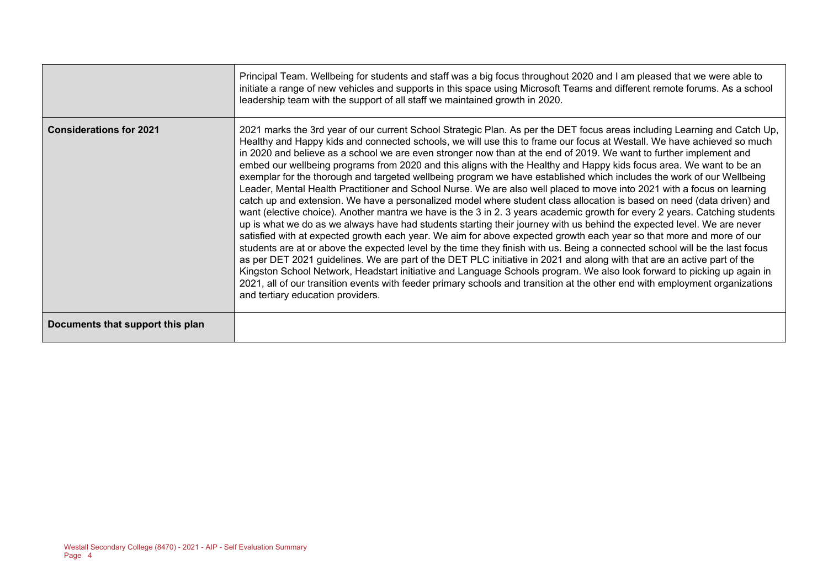|                                  | Principal Team. Wellbeing for students and staff was a big focus throughout 2020 and I am pleased that we were able to<br>initiate a range of new vehicles and supports in this space using Microsoft Teams and different remote forums. As a school<br>leadership team with the support of all staff we maintained growth in 2020.                                                                                                                                                                                                                                                                                                                                                                                                                                                                                                                                                                                                                                                                                                                                                                                                                                                                                                                                                                                                                                                                                                                                                                                                                                                                                                                                                                                                                                                                                       |
|----------------------------------|---------------------------------------------------------------------------------------------------------------------------------------------------------------------------------------------------------------------------------------------------------------------------------------------------------------------------------------------------------------------------------------------------------------------------------------------------------------------------------------------------------------------------------------------------------------------------------------------------------------------------------------------------------------------------------------------------------------------------------------------------------------------------------------------------------------------------------------------------------------------------------------------------------------------------------------------------------------------------------------------------------------------------------------------------------------------------------------------------------------------------------------------------------------------------------------------------------------------------------------------------------------------------------------------------------------------------------------------------------------------------------------------------------------------------------------------------------------------------------------------------------------------------------------------------------------------------------------------------------------------------------------------------------------------------------------------------------------------------------------------------------------------------------------------------------------------------|
| <b>Considerations for 2021</b>   | 2021 marks the 3rd year of our current School Strategic Plan. As per the DET focus areas including Learning and Catch Up,<br>Healthy and Happy kids and connected schools, we will use this to frame our focus at Westall. We have achieved so much<br>in 2020 and believe as a school we are even stronger now than at the end of 2019. We want to further implement and<br>embed our wellbeing programs from 2020 and this aligns with the Healthy and Happy kids focus area. We want to be an<br>exemplar for the thorough and targeted wellbeing program we have established which includes the work of our Wellbeing<br>Leader, Mental Health Practitioner and School Nurse. We are also well placed to move into 2021 with a focus on learning<br>catch up and extension. We have a personalized model where student class allocation is based on need (data driven) and<br>want (elective choice). Another mantra we have is the 3 in 2. 3 years academic growth for every 2 years. Catching students<br>up is what we do as we always have had students starting their journey with us behind the expected level. We are never<br>satisfied with at expected growth each year. We aim for above expected growth each year so that more and more of our<br>students are at or above the expected level by the time they finish with us. Being a connected school will be the last focus<br>as per DET 2021 guidelines. We are part of the DET PLC initiative in 2021 and along with that are an active part of the<br>Kingston School Network, Headstart initiative and Language Schools program. We also look forward to picking up again in<br>2021, all of our transition events with feeder primary schools and transition at the other end with employment organizations<br>and tertiary education providers. |
| Documents that support this plan |                                                                                                                                                                                                                                                                                                                                                                                                                                                                                                                                                                                                                                                                                                                                                                                                                                                                                                                                                                                                                                                                                                                                                                                                                                                                                                                                                                                                                                                                                                                                                                                                                                                                                                                                                                                                                           |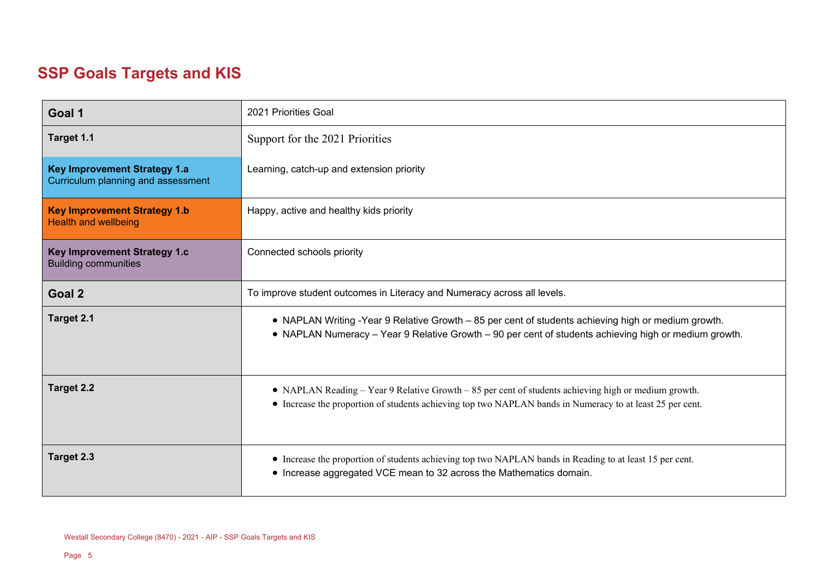# **SSP Goals Targets and KIS**

| Goal 1                                                                    | 2021 Priorities Goal                                                                                                                                                                                              |
|---------------------------------------------------------------------------|-------------------------------------------------------------------------------------------------------------------------------------------------------------------------------------------------------------------|
| Target 1.1                                                                | Support for the 2021 Priorities                                                                                                                                                                                   |
| <b>Key Improvement Strategy 1.a</b><br>Curriculum planning and assessment | Learning, catch-up and extension priority                                                                                                                                                                         |
| <b>Key Improvement Strategy 1.b</b><br><b>Health and wellbeing</b>        | Happy, active and healthy kids priority                                                                                                                                                                           |
| Key Improvement Strategy 1.c<br><b>Building communities</b>               | Connected schools priority                                                                                                                                                                                        |
| Goal 2                                                                    | To improve student outcomes in Literacy and Numeracy across all levels.                                                                                                                                           |
| Target 2.1                                                                | • NAPLAN Writing -Year 9 Relative Growth - 85 per cent of students achieving high or medium growth.<br>• NAPLAN Numeracy - Year 9 Relative Growth - 90 per cent of students achieving high or medium growth.      |
| Target 2.2                                                                | • NAPLAN Reading – Year 9 Relative Growth – 85 per cent of students achieving high or medium growth.<br>• Increase the proportion of students achieving top two NAPLAN bands in Numeracy to at least 25 per cent. |
| Target 2.3                                                                | • Increase the proportion of students achieving top two NAPLAN bands in Reading to at least 15 per cent.<br>• Increase aggregated VCE mean to 32 across the Mathematics domain.                                   |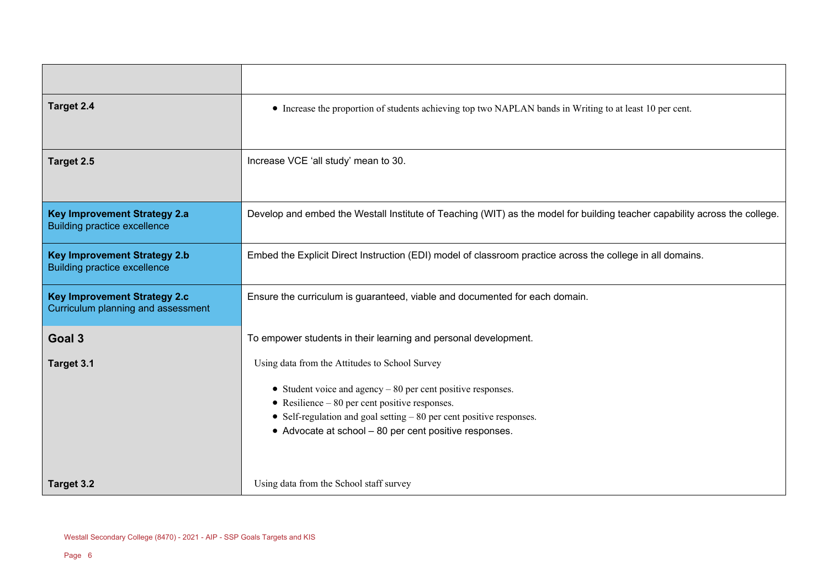| Target 2.4                                                                 | • Increase the proportion of students achieving top two NAPLAN bands in Writing to at least 10 per cent.                                                                                                                                                                                              |  |  |
|----------------------------------------------------------------------------|-------------------------------------------------------------------------------------------------------------------------------------------------------------------------------------------------------------------------------------------------------------------------------------------------------|--|--|
| Target 2.5                                                                 | Increase VCE 'all study' mean to 30.                                                                                                                                                                                                                                                                  |  |  |
| <b>Key Improvement Strategy 2.a</b><br><b>Building practice excellence</b> | Develop and embed the Westall Institute of Teaching (WIT) as the model for building teacher capability across the college.                                                                                                                                                                            |  |  |
| <b>Key Improvement Strategy 2.b</b><br><b>Building practice excellence</b> | Embed the Explicit Direct Instruction (EDI) model of classroom practice across the college in all domains.                                                                                                                                                                                            |  |  |
| <b>Key Improvement Strategy 2.c</b><br>Curriculum planning and assessment  | Ensure the curriculum is guaranteed, viable and documented for each domain.                                                                                                                                                                                                                           |  |  |
| Goal 3                                                                     | To empower students in their learning and personal development.                                                                                                                                                                                                                                       |  |  |
| Target 3.1                                                                 | Using data from the Attitudes to School Survey<br>• Student voice and agency $-80$ per cent positive responses.<br>• Resilience $-80$ per cent positive responses.<br>• Self-regulation and goal setting $-80$ per cent positive responses.<br>• Advocate at school - 80 per cent positive responses. |  |  |
| Target 3.2                                                                 | Using data from the School staff survey                                                                                                                                                                                                                                                               |  |  |

 $\sim$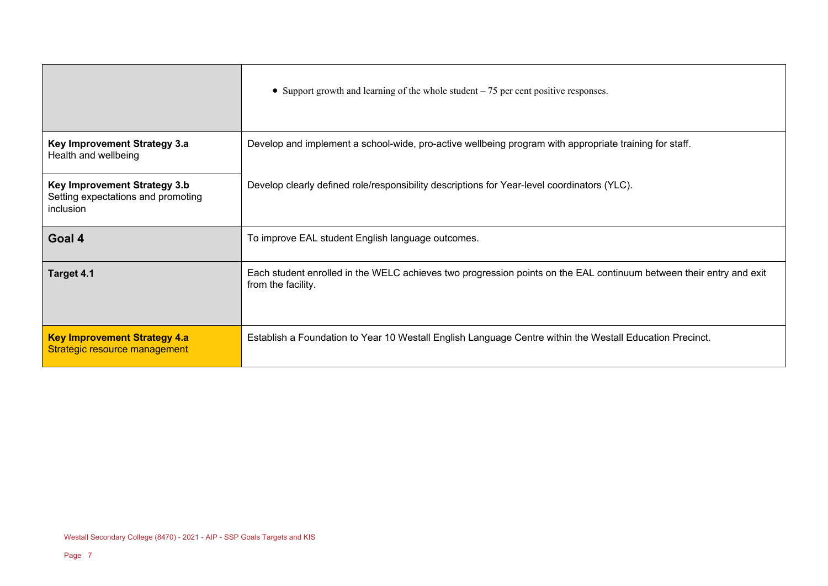|                                                                                 | • Support growth and learning of the whole student $-75$ per cent positive responses.                                                     |
|---------------------------------------------------------------------------------|-------------------------------------------------------------------------------------------------------------------------------------------|
| Key Improvement Strategy 3.a<br>Health and wellbeing                            | Develop and implement a school-wide, pro-active wellbeing program with appropriate training for staff.                                    |
| Key Improvement Strategy 3.b<br>Setting expectations and promoting<br>inclusion | Develop clearly defined role/responsibility descriptions for Year-level coordinators (YLC).                                               |
| Goal 4                                                                          | To improve EAL student English language outcomes.                                                                                         |
| Target 4.1                                                                      | Each student enrolled in the WELC achieves two progression points on the EAL continuum between their entry and exit<br>from the facility. |
| <b>Key Improvement Strategy 4.a</b><br>Strategic resource management            | Establish a Foundation to Year 10 Westall English Language Centre within the Westall Education Precinct.                                  |

 $\overline{a}$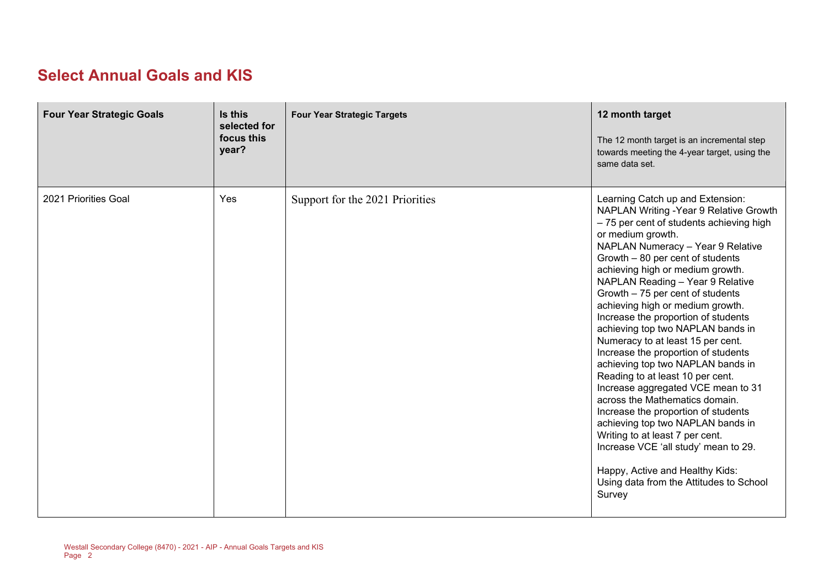#### **Select Annual Goals and KIS**

| <b>Four Year Strategic Goals</b> | Is this<br>selected for<br>focus this<br>year? | <b>Four Year Strategic Targets</b> | 12 month target<br>The 12 month target is an incremental step<br>towards meeting the 4-year target, using the<br>same data set.                                                                                                                                                                                                                                                                                                                                                                                                                                                                                                                                                                                                                                                                                                                                                                                               |
|----------------------------------|------------------------------------------------|------------------------------------|-------------------------------------------------------------------------------------------------------------------------------------------------------------------------------------------------------------------------------------------------------------------------------------------------------------------------------------------------------------------------------------------------------------------------------------------------------------------------------------------------------------------------------------------------------------------------------------------------------------------------------------------------------------------------------------------------------------------------------------------------------------------------------------------------------------------------------------------------------------------------------------------------------------------------------|
| 2021 Priorities Goal             | Yes                                            | Support for the 2021 Priorities    | Learning Catch up and Extension:<br>NAPLAN Writing - Year 9 Relative Growth<br>- 75 per cent of students achieving high<br>or medium growth.<br>NAPLAN Numeracy - Year 9 Relative<br>Growth - 80 per cent of students<br>achieving high or medium growth.<br>NAPLAN Reading - Year 9 Relative<br>Growth - 75 per cent of students<br>achieving high or medium growth.<br>Increase the proportion of students<br>achieving top two NAPLAN bands in<br>Numeracy to at least 15 per cent.<br>Increase the proportion of students<br>achieving top two NAPLAN bands in<br>Reading to at least 10 per cent.<br>Increase aggregated VCE mean to 31<br>across the Mathematics domain.<br>Increase the proportion of students<br>achieving top two NAPLAN bands in<br>Writing to at least 7 per cent.<br>Increase VCE 'all study' mean to 29.<br>Happy, Active and Healthy Kids:<br>Using data from the Attitudes to School<br>Survey |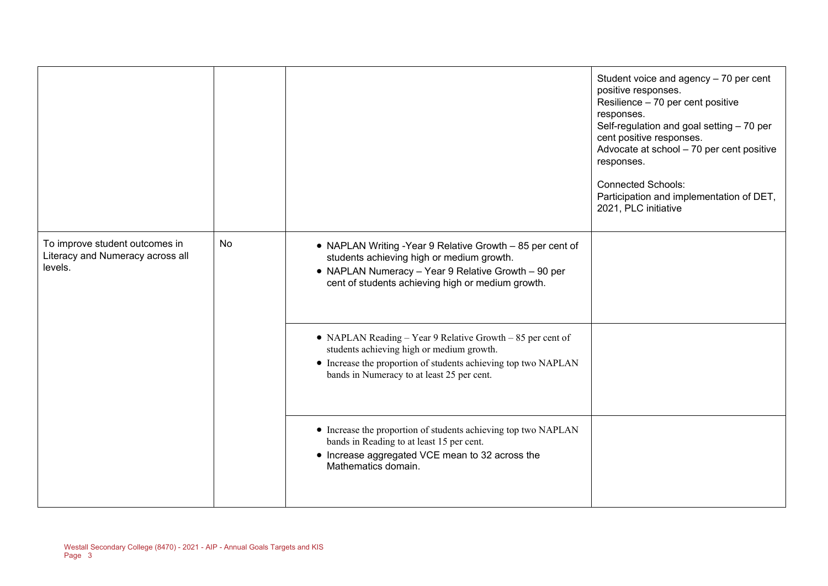|                                                                               |    |                                                                                                                                                                                                                         | Student voice and agency - 70 per cent<br>positive responses.<br>Resilience - 70 per cent positive<br>responses.<br>Self-regulation and goal setting - 70 per<br>cent positive responses.<br>Advocate at school - 70 per cent positive<br>responses.<br><b>Connected Schools:</b><br>Participation and implementation of DET,<br>2021, PLC initiative |
|-------------------------------------------------------------------------------|----|-------------------------------------------------------------------------------------------------------------------------------------------------------------------------------------------------------------------------|-------------------------------------------------------------------------------------------------------------------------------------------------------------------------------------------------------------------------------------------------------------------------------------------------------------------------------------------------------|
| To improve student outcomes in<br>Literacy and Numeracy across all<br>levels. | No | • NAPLAN Writing -Year 9 Relative Growth - 85 per cent of<br>students achieving high or medium growth.<br>• NAPLAN Numeracy - Year 9 Relative Growth - 90 per<br>cent of students achieving high or medium growth.      |                                                                                                                                                                                                                                                                                                                                                       |
|                                                                               |    | • NAPLAN Reading – Year 9 Relative Growth – 85 per cent of<br>students achieving high or medium growth.<br>• Increase the proportion of students achieving top two NAPLAN<br>bands in Numeracy to at least 25 per cent. |                                                                                                                                                                                                                                                                                                                                                       |
|                                                                               |    | • Increase the proportion of students achieving top two NAPLAN<br>bands in Reading to at least 15 per cent.<br>• Increase aggregated VCE mean to 32 across the<br>Mathematics domain.                                   |                                                                                                                                                                                                                                                                                                                                                       |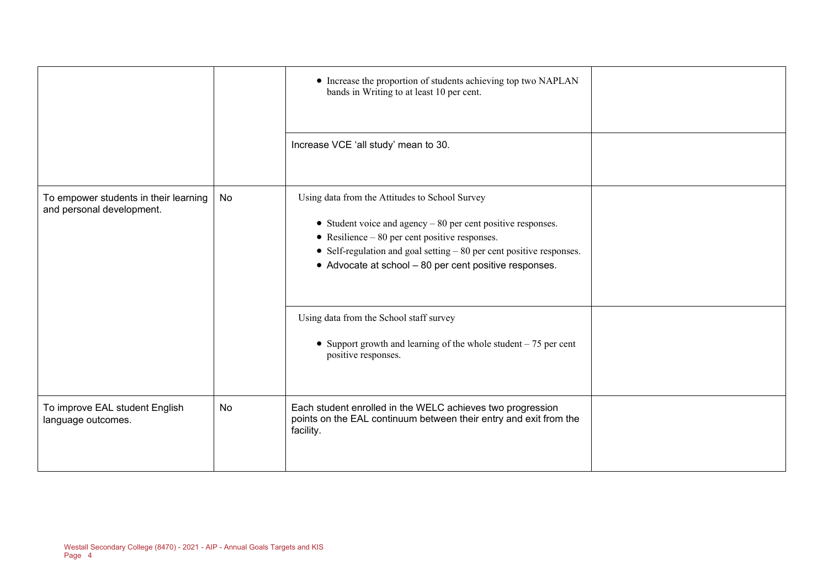|                                                                      |    | • Increase the proportion of students achieving top two NAPLAN<br>bands in Writing to at least 10 per cent.                                                                                                                                                                                                   |  |
|----------------------------------------------------------------------|----|---------------------------------------------------------------------------------------------------------------------------------------------------------------------------------------------------------------------------------------------------------------------------------------------------------------|--|
|                                                                      |    | Increase VCE 'all study' mean to 30.                                                                                                                                                                                                                                                                          |  |
| To empower students in their learning  <br>and personal development. | No | Using data from the Attitudes to School Survey<br>• Student voice and agency $-80$ per cent positive responses.<br>$\bullet$ Resilience $-80$ per cent positive responses.<br>• Self-regulation and goal setting $-80$ per cent positive responses.<br>• Advocate at school - 80 per cent positive responses. |  |
|                                                                      |    | Using data from the School staff survey<br>• Support growth and learning of the whole student $-75$ per cent<br>positive responses.                                                                                                                                                                           |  |
| To improve EAL student English<br>language outcomes.                 | No | Each student enrolled in the WELC achieves two progression<br>points on the EAL continuum between their entry and exit from the<br>facility.                                                                                                                                                                  |  |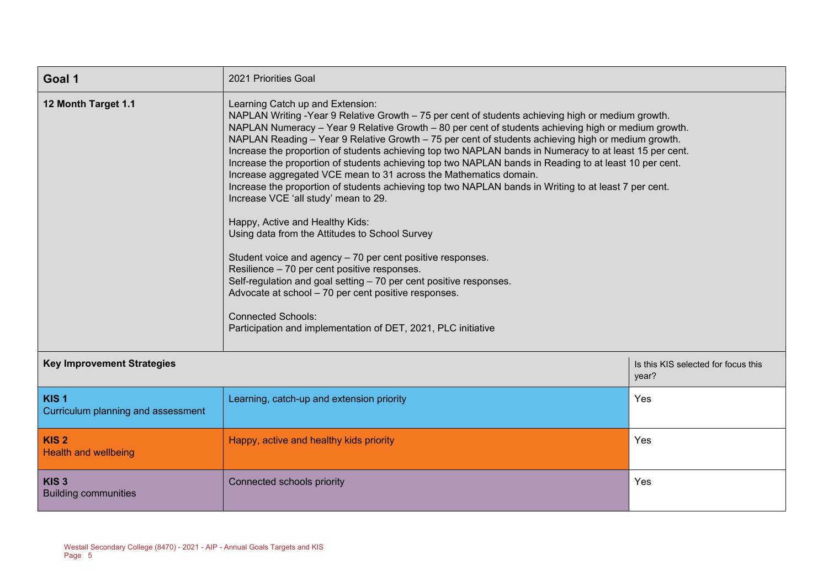| Goal 1                                                 | 2021 Priorities Goal                                                                                                                                                                                                                                                                                                                                                                                                                                                                                                                                                                                                                                                                                                                                                                                                                                                                                                                                                                                                                                                                                                                                                                                                         |                                              |
|--------------------------------------------------------|------------------------------------------------------------------------------------------------------------------------------------------------------------------------------------------------------------------------------------------------------------------------------------------------------------------------------------------------------------------------------------------------------------------------------------------------------------------------------------------------------------------------------------------------------------------------------------------------------------------------------------------------------------------------------------------------------------------------------------------------------------------------------------------------------------------------------------------------------------------------------------------------------------------------------------------------------------------------------------------------------------------------------------------------------------------------------------------------------------------------------------------------------------------------------------------------------------------------------|----------------------------------------------|
| 12 Month Target 1.1                                    | Learning Catch up and Extension:<br>NAPLAN Writing -Year 9 Relative Growth - 75 per cent of students achieving high or medium growth.<br>NAPLAN Numeracy - Year 9 Relative Growth - 80 per cent of students achieving high or medium growth.<br>NAPLAN Reading - Year 9 Relative Growth - 75 per cent of students achieving high or medium growth.<br>Increase the proportion of students achieving top two NAPLAN bands in Numeracy to at least 15 per cent.<br>Increase the proportion of students achieving top two NAPLAN bands in Reading to at least 10 per cent.<br>Increase aggregated VCE mean to 31 across the Mathematics domain.<br>Increase the proportion of students achieving top two NAPLAN bands in Writing to at least 7 per cent.<br>Increase VCE 'all study' mean to 29.<br>Happy, Active and Healthy Kids:<br>Using data from the Attitudes to School Survey<br>Student voice and agency - 70 per cent positive responses.<br>Resilience - 70 per cent positive responses.<br>Self-regulation and goal setting - 70 per cent positive responses.<br>Advocate at school - 70 per cent positive responses.<br><b>Connected Schools:</b><br>Participation and implementation of DET, 2021, PLC initiative |                                              |
| <b>Key Improvement Strategies</b>                      |                                                                                                                                                                                                                                                                                                                                                                                                                                                                                                                                                                                                                                                                                                                                                                                                                                                                                                                                                                                                                                                                                                                                                                                                                              | Is this KIS selected for focus this<br>year? |
| KIS <sub>1</sub><br>Curriculum planning and assessment | Learning, catch-up and extension priority                                                                                                                                                                                                                                                                                                                                                                                                                                                                                                                                                                                                                                                                                                                                                                                                                                                                                                                                                                                                                                                                                                                                                                                    | Yes                                          |
| KIS <sub>2</sub><br><b>Health and wellbeing</b>        | Happy, active and healthy kids priority                                                                                                                                                                                                                                                                                                                                                                                                                                                                                                                                                                                                                                                                                                                                                                                                                                                                                                                                                                                                                                                                                                                                                                                      | Yes                                          |
| KIS <sub>3</sub><br><b>Building communities</b>        | Connected schools priority                                                                                                                                                                                                                                                                                                                                                                                                                                                                                                                                                                                                                                                                                                                                                                                                                                                                                                                                                                                                                                                                                                                                                                                                   | Yes                                          |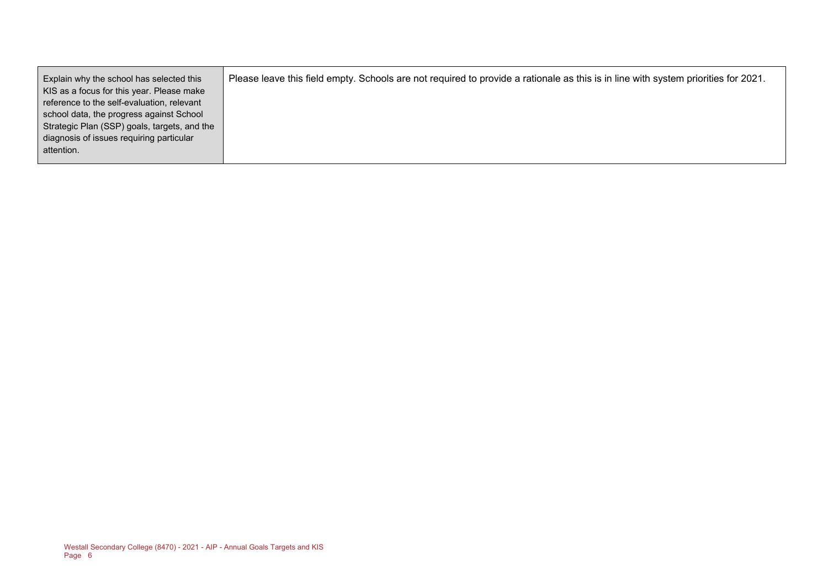| Explain why the school has selected this     | Please leave this field empty. Schools are not required to provide a rationale as this is in line with system priorities for 2021. |
|----------------------------------------------|------------------------------------------------------------------------------------------------------------------------------------|
| KIS as a focus for this year. Please make    |                                                                                                                                    |
| reference to the self-evaluation, relevant   |                                                                                                                                    |
| school data, the progress against School     |                                                                                                                                    |
| Strategic Plan (SSP) goals, targets, and the |                                                                                                                                    |
| diagnosis of issues requiring particular     |                                                                                                                                    |
| attention.                                   |                                                                                                                                    |
|                                              |                                                                                                                                    |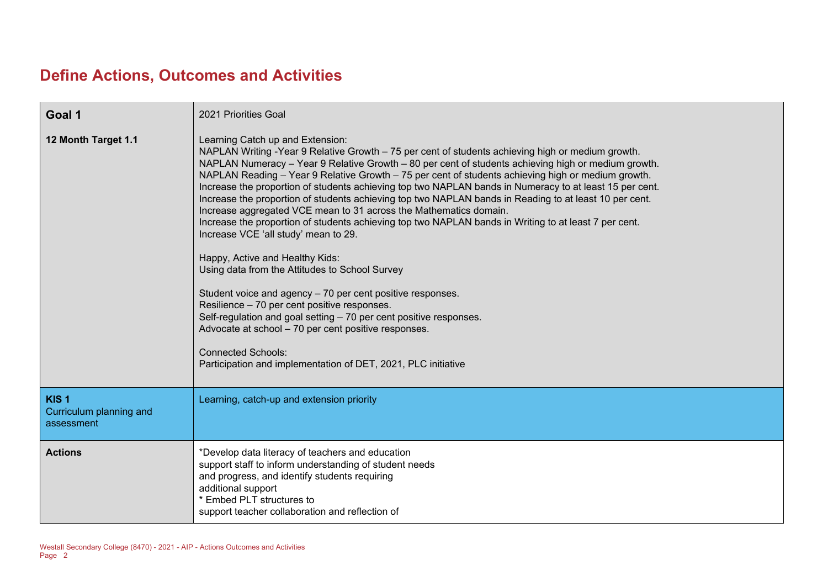# **Define Actions, Outcomes and Activities**

| Goal 1                                                    | 2021 Priorities Goal                                                                                                                                                                                                                                                                                                                                                                                                                                                                                                                                                                                                                                                                                                                                                                                                                                                                                                                                                                                                                                                                                                                                                                                                         |
|-----------------------------------------------------------|------------------------------------------------------------------------------------------------------------------------------------------------------------------------------------------------------------------------------------------------------------------------------------------------------------------------------------------------------------------------------------------------------------------------------------------------------------------------------------------------------------------------------------------------------------------------------------------------------------------------------------------------------------------------------------------------------------------------------------------------------------------------------------------------------------------------------------------------------------------------------------------------------------------------------------------------------------------------------------------------------------------------------------------------------------------------------------------------------------------------------------------------------------------------------------------------------------------------------|
| 12 Month Target 1.1                                       | Learning Catch up and Extension:<br>NAPLAN Writing -Year 9 Relative Growth - 75 per cent of students achieving high or medium growth.<br>NAPLAN Numeracy - Year 9 Relative Growth - 80 per cent of students achieving high or medium growth.<br>NAPLAN Reading - Year 9 Relative Growth - 75 per cent of students achieving high or medium growth.<br>Increase the proportion of students achieving top two NAPLAN bands in Numeracy to at least 15 per cent.<br>Increase the proportion of students achieving top two NAPLAN bands in Reading to at least 10 per cent.<br>Increase aggregated VCE mean to 31 across the Mathematics domain.<br>Increase the proportion of students achieving top two NAPLAN bands in Writing to at least 7 per cent.<br>Increase VCE 'all study' mean to 29.<br>Happy, Active and Healthy Kids:<br>Using data from the Attitudes to School Survey<br>Student voice and agency - 70 per cent positive responses.<br>Resilience - 70 per cent positive responses.<br>Self-regulation and goal setting - 70 per cent positive responses.<br>Advocate at school - 70 per cent positive responses.<br><b>Connected Schools:</b><br>Participation and implementation of DET, 2021, PLC initiative |
| KIS <sub>1</sub><br>Curriculum planning and<br>assessment | Learning, catch-up and extension priority                                                                                                                                                                                                                                                                                                                                                                                                                                                                                                                                                                                                                                                                                                                                                                                                                                                                                                                                                                                                                                                                                                                                                                                    |
| <b>Actions</b>                                            | *Develop data literacy of teachers and education<br>support staff to inform understanding of student needs<br>and progress, and identify students requiring<br>additional support<br>* Embed PLT structures to<br>support teacher collaboration and reflection of                                                                                                                                                                                                                                                                                                                                                                                                                                                                                                                                                                                                                                                                                                                                                                                                                                                                                                                                                            |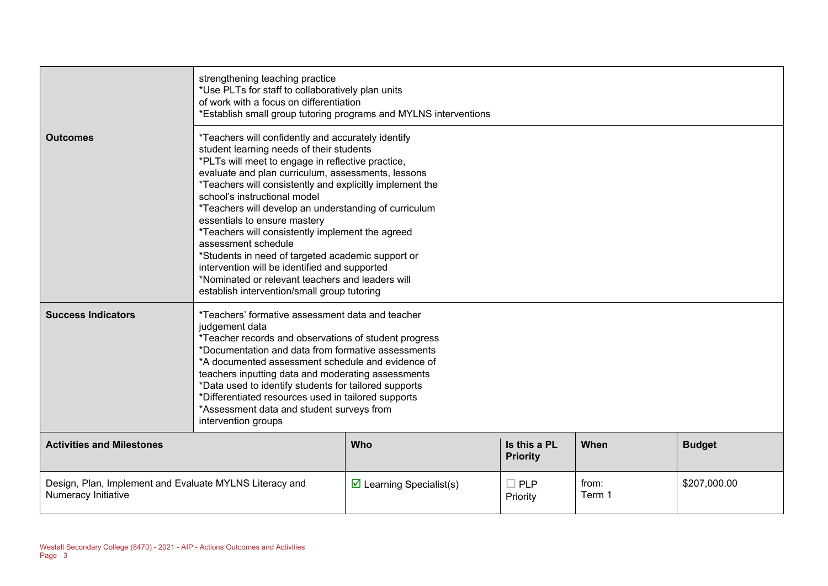|                                                                                | strengthening teaching practice<br>*Use PLTs for staff to collaboratively plan units<br>of work with a focus on differentiation<br>*Establish small group tutoring programs and MYLNS interventions                                                                                                                                                                                                                                                                                                                                                                                                                                                                                |                                         |                        |                 |              |  |  |
|--------------------------------------------------------------------------------|------------------------------------------------------------------------------------------------------------------------------------------------------------------------------------------------------------------------------------------------------------------------------------------------------------------------------------------------------------------------------------------------------------------------------------------------------------------------------------------------------------------------------------------------------------------------------------------------------------------------------------------------------------------------------------|-----------------------------------------|------------------------|-----------------|--------------|--|--|
| <b>Outcomes</b>                                                                | *Teachers will confidently and accurately identify<br>student learning needs of their students<br>*PLTs will meet to engage in reflective practice,<br>evaluate and plan curriculum, assessments, lessons<br>*Teachers will consistently and explicitly implement the<br>school's instructional model<br>*Teachers will develop an understanding of curriculum<br>essentials to ensure mastery<br>*Teachers will consistently implement the agreed<br>assessment schedule<br>*Students in need of targeted academic support or<br>intervention will be identified and supported<br>*Nominated or relevant teachers and leaders will<br>establish intervention/small group tutoring |                                         |                        |                 |              |  |  |
| <b>Success Indicators</b>                                                      | *Teachers' formative assessment data and teacher<br>judgement data<br>*Teacher records and observations of student progress<br>*Documentation and data from formative assessments<br>*A documented assessment schedule and evidence of<br>teachers inputting data and moderating assessments<br>*Data used to identify students for tailored supports<br>*Differentiated resources used in tailored supports<br>*Assessment data and student surveys from<br>intervention groups                                                                                                                                                                                                   |                                         |                        |                 |              |  |  |
| <b>Activities and Milestones</b>                                               | Is this a PL<br><b>Who</b><br>When<br><b>Budget</b><br><b>Priority</b>                                                                                                                                                                                                                                                                                                                                                                                                                                                                                                                                                                                                             |                                         |                        |                 |              |  |  |
| Design, Plan, Implement and Evaluate MYLNS Literacy and<br>Numeracy Initiative |                                                                                                                                                                                                                                                                                                                                                                                                                                                                                                                                                                                                                                                                                    | $\triangleright$ Learning Specialist(s) | $\Box$ PLP<br>Priority | from:<br>Term 1 | \$207,000.00 |  |  |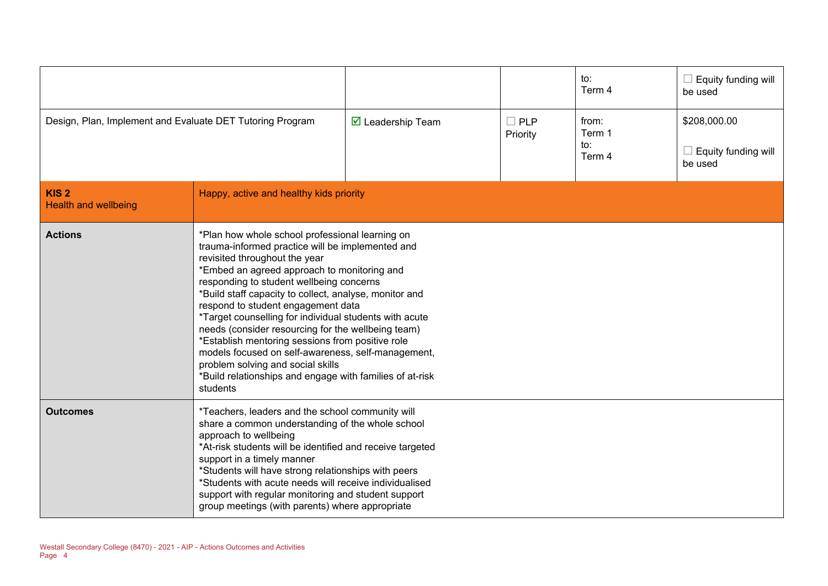|                                                           |                                                                                                                                                                                                                                                                                                                                                                                                                                                                                                                                                                                                                                                                        |                                         |                           | to:<br>Term 4                    | Equity funding will<br>be used                 |
|-----------------------------------------------------------|------------------------------------------------------------------------------------------------------------------------------------------------------------------------------------------------------------------------------------------------------------------------------------------------------------------------------------------------------------------------------------------------------------------------------------------------------------------------------------------------------------------------------------------------------------------------------------------------------------------------------------------------------------------------|-----------------------------------------|---------------------------|----------------------------------|------------------------------------------------|
| Design, Plan, Implement and Evaluate DET Tutoring Program |                                                                                                                                                                                                                                                                                                                                                                                                                                                                                                                                                                                                                                                                        | $\overline{\mathbf{M}}$ Leadership Team | $\square$ PLP<br>Priority | from:<br>Term 1<br>to:<br>Term 4 | \$208,000.00<br>Equity funding will<br>be used |
| KIS <sub>2</sub><br><b>Health and wellbeing</b>           | Happy, active and healthy kids priority                                                                                                                                                                                                                                                                                                                                                                                                                                                                                                                                                                                                                                |                                         |                           |                                  |                                                |
| <b>Actions</b>                                            | *Plan how whole school professional learning on<br>trauma-informed practice will be implemented and<br>revisited throughout the year<br>*Embed an agreed approach to monitoring and<br>responding to student wellbeing concerns<br>*Build staff capacity to collect, analyse, monitor and<br>respond to student engagement data<br>*Target counselling for individual students with acute<br>needs (consider resourcing for the wellbeing team)<br>*Establish mentoring sessions from positive role<br>models focused on self-awareness, self-management,<br>problem solving and social skills<br>*Build relationships and engage with families of at-risk<br>students |                                         |                           |                                  |                                                |
| <b>Outcomes</b>                                           | *Teachers, leaders and the school community will<br>share a common understanding of the whole school<br>approach to wellbeing<br>*At-risk students will be identified and receive targeted<br>support in a timely manner<br>*Students will have strong relationships with peers<br>*Students with acute needs will receive individualised<br>support with regular monitoring and student support<br>group meetings (with parents) where appropriate                                                                                                                                                                                                                    |                                         |                           |                                  |                                                |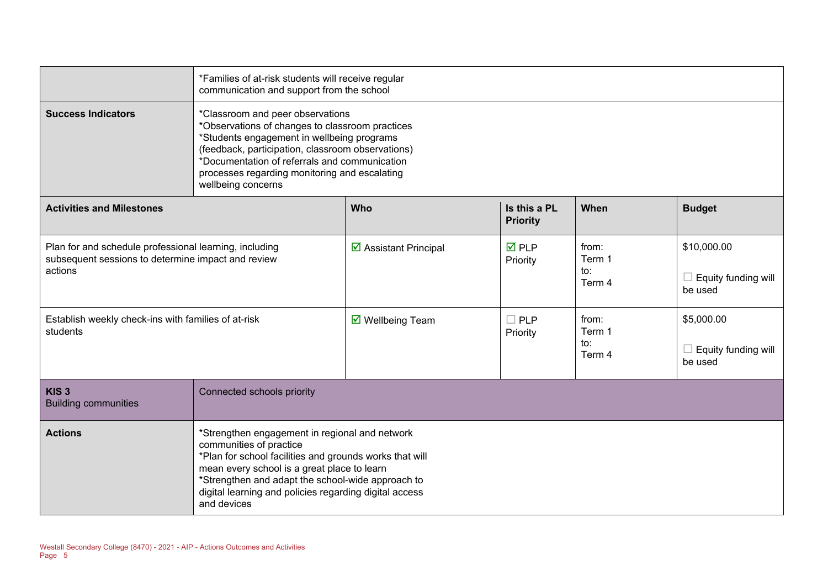|                                                                                                                         | *Families of at-risk students will receive regular<br>communication and support from the school                                                                                                                                                                                                                   |                                        |                                |                                  |                                               |  |  |
|-------------------------------------------------------------------------------------------------------------------------|-------------------------------------------------------------------------------------------------------------------------------------------------------------------------------------------------------------------------------------------------------------------------------------------------------------------|----------------------------------------|--------------------------------|----------------------------------|-----------------------------------------------|--|--|
| <b>Success Indicators</b>                                                                                               | *Classroom and peer observations<br>*Observations of changes to classroom practices<br>*Students engagement in wellbeing programs<br>(feedback, participation, classroom observations)<br>*Documentation of referrals and communication<br>processes regarding monitoring and escalating<br>wellbeing concerns    |                                        |                                |                                  |                                               |  |  |
| <b>Activities and Milestones</b>                                                                                        | Is this a PL<br>Who<br>When<br><b>Budget</b><br><b>Priority</b>                                                                                                                                                                                                                                                   |                                        |                                |                                  |                                               |  |  |
| Plan for and schedule professional learning, including<br>subsequent sessions to determine impact and review<br>actions |                                                                                                                                                                                                                                                                                                                   | ☑ Assistant Principal                  | $\overline{M}$ PLP<br>Priority | from:<br>Term 1<br>to:<br>Term 4 | \$10,000.00<br>Equity funding will<br>be used |  |  |
| Establish weekly check-ins with families of at-risk<br>students                                                         |                                                                                                                                                                                                                                                                                                                   | $\overline{\mathbf{M}}$ Wellbeing Team | $\square$ PLP<br>Priority      | from:<br>Term 1<br>to:<br>Term 4 | \$5,000.00<br>Equity funding will<br>be used  |  |  |
| KIS <sub>3</sub><br><b>Building communities</b>                                                                         | Connected schools priority                                                                                                                                                                                                                                                                                        |                                        |                                |                                  |                                               |  |  |
| <b>Actions</b>                                                                                                          | *Strengthen engagement in regional and network<br>communities of practice<br>*Plan for school facilities and grounds works that will<br>mean every school is a great place to learn<br>*Strengthen and adapt the school-wide approach to<br>digital learning and policies regarding digital access<br>and devices |                                        |                                |                                  |                                               |  |  |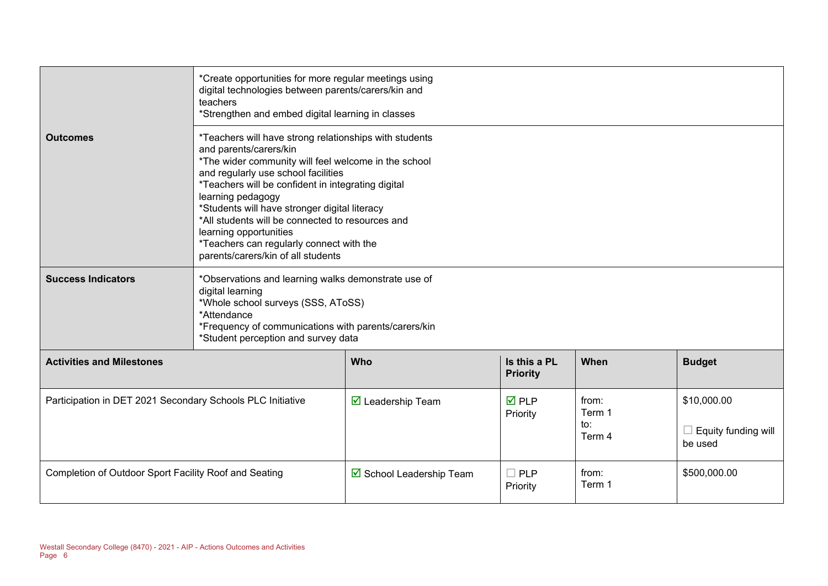|                                                            | *Create opportunities for more regular meetings using<br>digital technologies between parents/carers/kin and<br>teachers<br>*Strengthen and embed digital learning in classes                                                                                                                                                                                                                                                                                                                                                                                                                |                                         |                                 |                                  |                                               |  |
|------------------------------------------------------------|----------------------------------------------------------------------------------------------------------------------------------------------------------------------------------------------------------------------------------------------------------------------------------------------------------------------------------------------------------------------------------------------------------------------------------------------------------------------------------------------------------------------------------------------------------------------------------------------|-----------------------------------------|---------------------------------|----------------------------------|-----------------------------------------------|--|
| <b>Outcomes</b><br><b>Success Indicators</b>               | *Teachers will have strong relationships with students<br>and parents/carers/kin<br>*The wider community will feel welcome in the school<br>and regularly use school facilities<br>*Teachers will be confident in integrating digital<br>learning pedagogy<br>*Students will have stronger digital literacy<br>*All students will be connected to resources and<br>learning opportunities<br>*Teachers can regularly connect with the<br>parents/carers/kin of all students<br>*Observations and learning walks demonstrate use of<br>digital learning<br>*Whole school surveys (SSS, AToSS) |                                         |                                 |                                  |                                               |  |
|                                                            | *Attendance<br>*Frequency of communications with parents/carers/kin<br>*Student perception and survey data                                                                                                                                                                                                                                                                                                                                                                                                                                                                                   |                                         |                                 |                                  |                                               |  |
| <b>Activities and Milestones</b>                           |                                                                                                                                                                                                                                                                                                                                                                                                                                                                                                                                                                                              | <b>Who</b>                              | Is this a PL<br><b>Priority</b> | When                             | <b>Budget</b>                                 |  |
| Participation in DET 2021 Secondary Schools PLC Initiative |                                                                                                                                                                                                                                                                                                                                                                                                                                                                                                                                                                                              | $\overline{\mathbf{y}}$ Leadership Team | $\overline{M}$ PLP<br>Priority  | from:<br>Term 1<br>to:<br>Term 4 | \$10,000.00<br>Equity funding will<br>be used |  |
| Completion of Outdoor Sport Facility Roof and Seating      |                                                                                                                                                                                                                                                                                                                                                                                                                                                                                                                                                                                              | ☑ School Leadership Team                | $\Box$ PLP<br>Priority          | from:<br>Term 1                  | \$500,000.00                                  |  |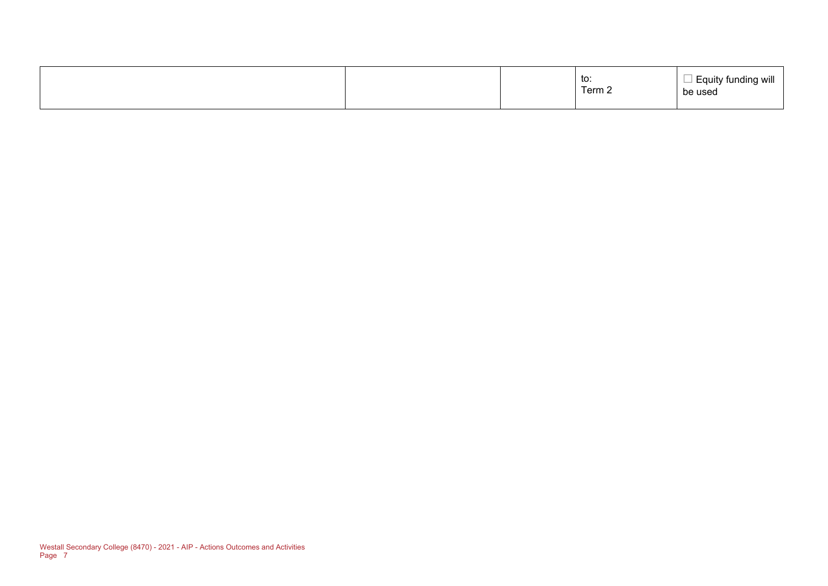|  |  | to:<br>$\overline{\phantom{0}}$<br>Term 2 | . Equity funding will<br>be used |
|--|--|-------------------------------------------|----------------------------------|
|--|--|-------------------------------------------|----------------------------------|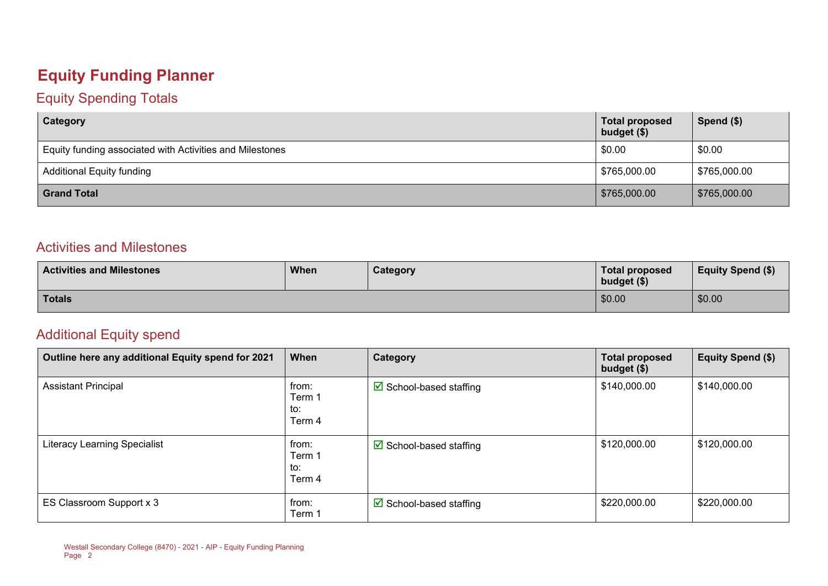### **Equity Funding Planner**

#### Equity Spending Totals

| Category                                                 | <b>Total proposed</b><br>budget $($)$ | Spend $($)$  |
|----------------------------------------------------------|---------------------------------------|--------------|
| Equity funding associated with Activities and Milestones | \$0.00                                | \$0.00       |
| <b>Additional Equity funding</b>                         | \$765,000.00                          | \$765,000.00 |
| <b>Grand Total</b>                                       | \$765,000.00                          | \$765,000.00 |

#### Activities and Milestones

| <b>Activities and Milestones</b> | <b>When</b> | Category | <b>Total proposed</b><br>budget (\$) | <b>Equity Spend (\$)</b> |
|----------------------------------|-------------|----------|--------------------------------------|--------------------------|
| <b>Totals</b>                    |             |          | \$0.00                               | \$0.00                   |

#### Additional Equity spend

| Outline here any additional Equity spend for 2021 | When                             | Category                               | <b>Total proposed</b><br>budget $($)$ | Equity Spend (\$) |
|---------------------------------------------------|----------------------------------|----------------------------------------|---------------------------------------|-------------------|
| <b>Assistant Principal</b>                        | from:<br>Term 1<br>to:<br>Term 4 | $\triangleright$ School-based staffing | \$140,000.00                          | \$140,000.00      |
| <b>Literacy Learning Specialist</b>               | from:<br>Term 1<br>to:<br>Term 4 | $\boxtimes$ School-based staffing      | \$120,000.00                          | \$120,000.00      |
| ES Classroom Support x 3                          | from:<br>Term 1                  | $\triangledown$ School-based staffing  | \$220,000.00                          | \$220,000.00      |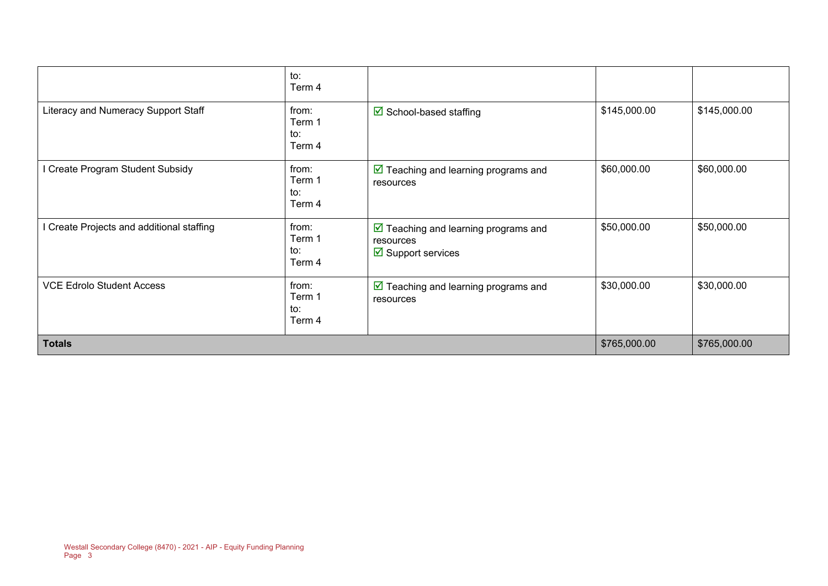|                                           | to:<br>Term 4                    |                                                                                                  |              |              |
|-------------------------------------------|----------------------------------|--------------------------------------------------------------------------------------------------|--------------|--------------|
| Literacy and Numeracy Support Staff       | from:<br>Term 1<br>to:<br>Term 4 | $\boxtimes$ School-based staffing                                                                | \$145,000.00 | \$145,000.00 |
| I Create Program Student Subsidy          | from:<br>Term 1<br>to:<br>Term 4 | $\triangleright$ Teaching and learning programs and<br>resources                                 | \$60,000.00  | \$60,000.00  |
| I Create Projects and additional staffing | from:<br>Term 1<br>to:<br>Term 4 | $\triangleright$ Teaching and learning programs and<br>resources<br>$\boxtimes$ Support services | \$50,000.00  | \$50,000.00  |
| <b>VCE Edrolo Student Access</b>          | from:<br>Term 1<br>to:<br>Term 4 | $\triangleright$ Teaching and learning programs and<br>resources                                 | \$30,000.00  | \$30,000.00  |
| <b>Totals</b>                             |                                  |                                                                                                  | \$765,000.00 | \$765,000.00 |